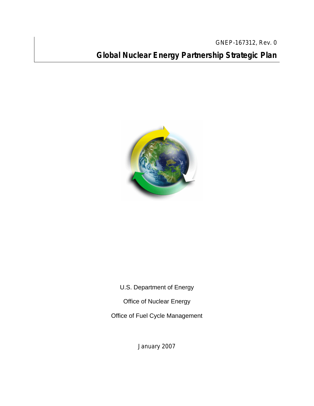GNEP-167312, Rev. 0 **Global Nuclear Energy Partnership Strategic Plan**



U.S. Department of Energy

Office of Nuclear Energy

Office of Fuel Cycle Management

January 2007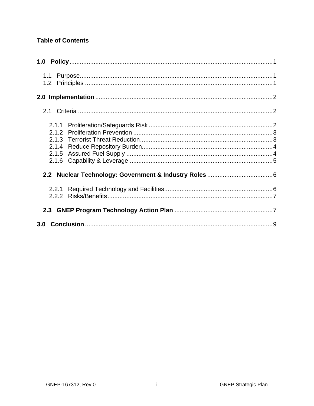#### **Table of Contents**

| 2.2.1<br>2.2.2 |  |
|----------------|--|
|                |  |
|                |  |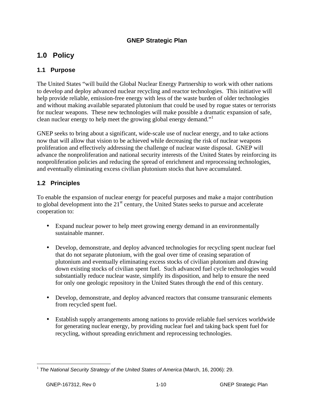#### **GNEP Strategic Plan**

# **1.0 Policy**

#### **1.1 Purpose**

The United States "will build the Global Nuclear Energy Partnership to work with other nations to develop and deploy advanced nuclear recycling and reactor technologies. This initiative will help provide reliable, emission-free energy with less of the waste burden of older technologies and without making available separated plutonium that could be used by rogue states or terrorists for nuclear weapons. These new technologies will make possible a dramatic expansion of safe, clean nuclear energy to help meet the growing global energy demand."

GNEP seeks to bring about a significant, wide-scale use of nuclear energy, and to take actions now that will allow that vision to be achieved while decreasing the risk of nuclear weapons proliferation and effectively addressing the challenge of nuclear waste disposal. GNEP will advance the nonproliferation and national security interests of the United States by reinforcing its nonproliferation policies and reducing the spread of enrichment and reprocessing technologies, and eventually eliminating excess civilian plutonium stocks that have accumulated.

#### **1.2 Principles**

To enable the expansion of nuclear energy for peaceful purposes and make a major contribution to global development into the 21<sup>st</sup> century, the United States seeks to pursue and accelerate cooperation to:

- Expand nuclear power to help meet growing energy demand in an environmentally sustainable manner.
- Develop, demonstrate, and deploy advanced technologies for recycling spent nuclear fuel that do not separate plutonium, with the goal over time of ceasing separation of plutonium and eventually eliminating excess stocks of civilian plutonium and drawing down existing stocks of civilian spent fuel. Such advanced fuel cycle technologies would substantially reduce nuclear waste, simplify its disposition, and help to ensure the need for only one geologic repository in the United States through the end of this century.
- Develop, demonstrate, and deploy advanced reactors that consume transuranic elements from recycled spent fuel.
- Establish supply arrangements among nations to provide reliable fuel services worldwide for generating nuclear energy, by providing nuclear fuel and taking back spent fuel for recycling, without spreading enrichment and reprocessing technologies.

<sup>1</sup> <sup>1</sup> *The National Security Strategy of the United States of America* (March, 16, 2006): 29.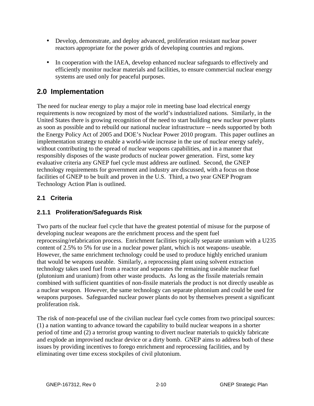- Develop, demonstrate, and deploy advanced, proliferation resistant nuclear power reactors appropriate for the power grids of developing countries and regions.
- In cooperation with the IAEA, develop enhanced nuclear safeguards to effectively and efficiently monitor nuclear materials and facilities, to ensure commercial nuclear energy systems are used only for peaceful purposes.

# **2.0 Implementation**

The need for nuclear energy to play a major role in meeting base load electrical energy requirements is now recognized by most of the world's industrialized nations. Similarly, in the United States there is growing recognition of the need to start building new nuclear power plants as soon as possible and to rebuild our national nuclear infrastructure -- needs supported by both the Energy Policy Act of 2005 and DOE's Nuclear Power 2010 program. This paper outlines an implementation strategy to enable a world-wide increase in the use of nuclear energy safely, without contributing to the spread of nuclear weapons capabilities, and in a manner that responsibly disposes of the waste products of nuclear power generation. First, some key evaluative criteria any GNEP fuel cycle must address are outlined. Second, the GNEP technology requirements for government and industry are discussed, with a focus on those facilities of GNEP to be built and proven in the U.S. Third, a two year GNEP Program Technology Action Plan is outlined.

## **2.1 Criteria**

## **2.1.1 Proliferation/Safeguards Risk**

Two parts of the nuclear fuel cycle that have the greatest potential of misuse for the purpose of developing nuclear weapons are the enrichment process and the spent fuel reprocessing/refabrication process. Enrichment facilities typically separate uranium with a U235 content of 2.5% to 5% for use in a nuclear power plant, which is not weapons- useable. However, the same enrichment technology could be used to produce highly enriched uranium that would be weapons useable. Similarly, a reprocessing plant using solvent extraction technology takes used fuel from a reactor and separates the remaining useable nuclear fuel (plutonium and uranium) from other waste products. As long as the fissile materials remain combined with sufficient quantities of non-fissile materials the product is not directly useable as a nuclear weapon. However, the same technology can separate plutonium and could be used for weapons purposes. Safeguarded nuclear power plants do not by themselves present a significant proliferation risk.

The risk of non-peaceful use of the civilian nuclear fuel cycle comes from two principal sources: (1) a nation wanting to advance toward the capability to build nuclear weapons in a shorter period of time and (2) a terrorist group wanting to divert nuclear materials to quickly fabricate and explode an improvised nuclear device or a dirty bomb. GNEP aims to address both of these issues by providing incentives to forego enrichment and reprocessing facilities, and by eliminating over time excess stockpiles of civil plutonium.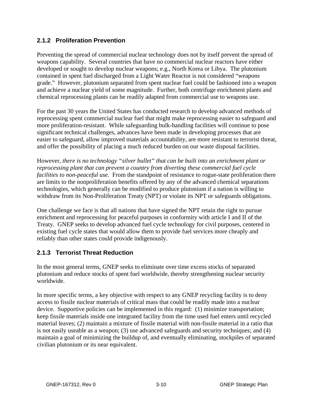#### **2.1.2 Proliferation Prevention**

Preventing the spread of commercial nuclear technology does not by itself prevent the spread of weapons capability. Several countries that have no commercial nuclear reactors have either developed or sought to develop nuclear weapons; e.g., North Korea or Libya. The plutonium contained in spent fuel discharged from a Light Water Reactor is not considered "weapons grade." However, plutonium separated from spent nuclear fuel could be fashioned into a weapon and achieve a nuclear yield of some magnitude. Further, both centrifuge enrichment plants and chemical reprocessing plants can be readily adapted from commercial use to weapons use.

For the past 30 years the United States has conducted research to develop advanced methods of reprocessing spent commercial nuclear fuel that might make reprocessing easier to safeguard and more proliferation-resistant. While safeguarding bulk-handling facilities will continue to pose significant technical challenges, advances have been made in developing processes that are easier to safeguard, allow improved materials accountability, are more resistant to terrorist threat, and offer the possibility of placing a much reduced burden on our waste disposal facilities.

However, *there is no technology "silver bullet" that can be built into an enrichment plant or reprocessing plant that can prevent a country from diverting these commercial fuel cycle facilities to non-peaceful use.* From the standpoint of resistance to rogue-state proliferation there are limits to the nonproliferation benefits offered by any of the advanced chemical separations technologies, which generally can be modified to produce plutonium if a nation is willing to withdraw from its Non-Proliferation Treaty (NPT) or violate its NPT or safeguards obligations.

One challenge we face is that all nations that have signed the NPT retain the right to pursue enrichment and reprocessing for peaceful purposes in conformity with article I and II of the Treaty. GNEP seeks to develop advanced fuel cycle technology for civil purposes, centered in existing fuel cycle states that would allow them to provide fuel services more cheaply and reliably than other states could provide indigenously.

## **2.1.3 Terrorist Threat Reduction**

In the most general terms, GNEP seeks to eliminate over time excess stocks of separated plutonium and reduce stocks of spent fuel worldwide, thereby strengthening nuclear security worldwide.

In more specific terms, a key objective with respect to any GNEP recycling facility is to deny access to fissile nuclear materials of critical mass that could be readily made into a nuclear device. Supportive policies can be implemented in this regard: (1) minimize transportation; keep fissile materials inside one integrated facility from the time used fuel enters until recycled material leaves; (2) maintain a mixture of fissile material with non-fissile material in a ratio that is not easily useable as a weapon; (3) use advanced safeguards and security techniques; and (4) maintain a goal of minimizing the buildup of, and eventually eliminating, stockpiles of separated civilian plutonium or its near equivalent.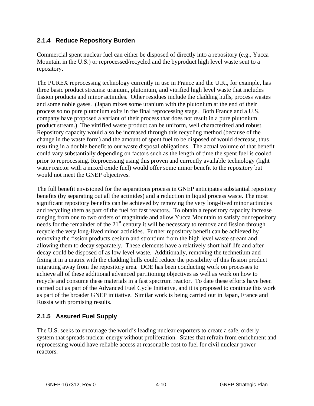#### **2.1.4 Reduce Repository Burden**

Commercial spent nuclear fuel can either be disposed of directly into a repository (e.g., Yucca Mountain in the U.S.) or reprocessed/recycled and the byproduct high level waste sent to a repository.

The PUREX reprocessing technology currently in use in France and the U.K., for example, has three basic product streams: uranium, plutonium, and vitrified high level waste that includes fission products and minor actinides. Other residues include the cladding hulls, process wastes and some noble gases. (Japan mixes some uranium with the plutonium at the end of their process so no pure plutonium exits in the final reprocessing stage. Both France and a U.S. company have proposed a variant of their process that does not result in a pure plutonium product stream.) The vitrified waste product can be uniform, well characterized and robust. Repository capacity would also be increased through this recycling method (because of the change in the waste form) and the amount of spent fuel to be disposed of would decrease, thus resulting in a double benefit to our waste disposal obligations. The actual volume of that benefit could vary substantially depending on factors such as the length of time the spent fuel is cooled prior to reprocessing. Reprocessing using this proven and currently available technology (light water reactor with a mixed oxide fuel) would offer some minor benefit to the repository but would not meet the GNEP objectives.

The full benefit envisioned for the separations process in GNEP anticipates substantial repository benefits (by separating out all the actinides) and a reduction in liquid process waste. The most significant repository benefits can be achieved by removing the very long-lived minor actinides and recycling them as part of the fuel for fast reactors. To obtain a repository capacity increase ranging from one to two orders of magnitude and allow Yucca Mountain to satisfy our repository needs for the remainder of the 21<sup>st</sup> century it will be necessary to remove and fission through recycle the very long-lived minor actinides. Further repository benefit can be achieved by removing the fission products cesium and strontium from the high level waste stream and allowing them to decay separately. These elements have a relatively short half life and after decay could be disposed of as low level waste. Additionally, removing the technetium and fixing it in a matrix with the cladding hulls could reduce the possibility of this fission product migrating away from the repository area. DOE has been conducting work on processes to achieve all of these additional advanced partitioning objectives as well as work on how to recycle and consume these materials in a fast spectrum reactor. To date these efforts have been carried out as part of the Advanced Fuel Cycle Initiative, and it is proposed to continue this work as part of the broader GNEP initiative. Similar work is being carried out in Japan, France and Russia with promising results.

## **2.1.5 Assured Fuel Supply**

The U.S. seeks to encourage the world's leading nuclear exporters to create a safe, orderly system that spreads nuclear energy without proliferation. States that refrain from enrichment and reprocessing would have reliable access at reasonable cost to fuel for civil nuclear power reactors.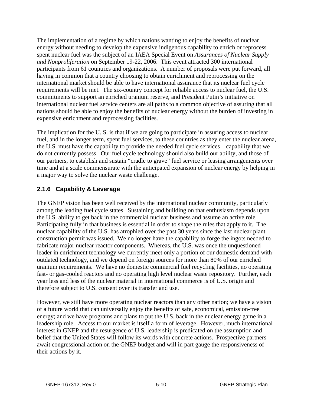The implementation of a regime by which nations wanting to enjoy the benefits of nuclear energy without needing to develop the expensive indigenous capability to enrich or reprocess spent nuclear fuel was the subject of an IAEA Special Event on *Assurances of Nuclear Supply and Nonproliferation* on September 19-22, 2006. This event attracted 300 international participants from 61 countries and organizations. A number of proposals were put forward, all having in common that a country choosing to obtain enrichment and reprocessing on the international market should be able to have international assurance that its nuclear fuel cycle requirements will be met. The six-country concept for reliable access to nuclear fuel, the U.S. commitments to support an enriched uranium reserve, and President Putin's initiative on international nuclear fuel service centers are all paths to a common objective of assuring that all nations should be able to enjoy the benefits of nuclear energy without the burden of investing in expensive enrichment and reprocessing facilities.

The implication for the U. S. is that if we are going to participate in assuring access to nuclear fuel, and in the longer term, spent fuel services, to these countries as they enter the nuclear arena, the U.S. must have the capability to provide the needed fuel cycle services – capability that we do not currently possess. Our fuel cycle technology should also build our ability, and those of our partners, to establish and sustain "cradle to grave" fuel service or leasing arrangements over time and at a scale commensurate with the anticipated expansion of nuclear energy by helping in a major way to solve the nuclear waste challenge.

## **2.1.6 Capability & Leverage**

The GNEP vision has been well received by the international nuclear community, particularly among the leading fuel cycle states. Sustaining and building on that enthusiasm depends upon the U.S. ability to get back in the commercial nuclear business and assume an active role. Participating fully in that business is essential in order to shape the rules that apply to it. The nuclear capability of the U.S. has atrophied over the past 30 years since the last nuclear plant construction permit was issued. We no longer have the capability to forge the ingots needed to fabricate major nuclear reactor components. Whereas, the U.S. was once the unquestioned leader in enrichment technology we currently meet only a portion of our domestic demand with outdated technology, and we depend on foreign sources for more than 80% of our enriched uranium requirements. We have no domestic commercial fuel recycling facilities, no operating fast- or gas-cooled reactors and no operating high level nuclear waste repository. Further, each year less and less of the nuclear material in international commerce is of U.S. origin and therefore subject to U.S. consent over its transfer and use.

However, we still have more operating nuclear reactors than any other nation; we have a vision of a future world that can universally enjoy the benefits of safe, economical, emission-free energy; and we have programs and plans to put the U.S. back in the nuclear energy game in a leadership role. Access to our market is itself a form of leverage. However, much international interest in GNEP and the resurgence of U.S. leadership is predicated on the assumption and belief that the United States will follow its words with concrete actions. Prospective partners await congressional action on the GNEP budget and will in part gauge the responsiveness of their actions by it.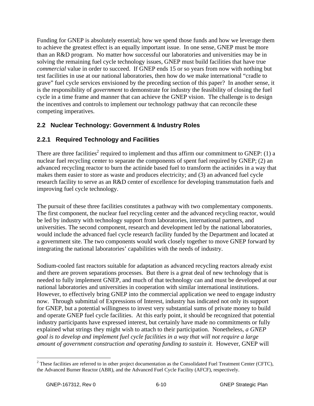Funding for GNEP is absolutely essential; how we spend those funds and how we leverage them to achieve the greatest effect is an equally important issue. In one sense, GNEP must be more than an R&D program. No matter how successful our laboratories and universities may be in solving the remaining fuel cycle technology issues, GNEP must build facilities that have true *commercial* value in order to succeed. If GNEP ends 15 or so years from now with nothing but test facilities in use at our national laboratories, then how do we make international "cradle to grave" fuel cycle services envisioned by the preceding section of this paper? In another sense, it is the responsibility of *government* to demonstrate for industry the feasibility of closing the fuel cycle in a time frame and manner that can achieve the GNEP vision. The challenge is to design the incentives and controls to implement our technology pathway that can reconcile these competing imperatives.

## **2.2 Nuclear Technology: Government & Industry Roles**

#### **2.2.1 Required Technology and Facilities**

There are three facilities<sup>2</sup> required to implement and thus affirm our commitment to GNEP: (1) a nuclear fuel recycling center to separate the components of spent fuel required by GNEP; (2) an advanced recycling reactor to burn the actinide based fuel to transform the actinides in a way that makes them easier to store as waste and produces electricity; and (3) an advanced fuel cycle research facility to serve as an R&D center of excellence for developing transmutation fuels and improving fuel cycle technology.

The pursuit of these three facilities constitutes a pathway with two complementary components. The first component, the nuclear fuel recycling center and the advanced recycling reactor, would be led by industry with technology support from laboratories, international partners, and universities. The second component, research and development led by the national laboratories, would include the advanced fuel cycle research facility funded by the Department and located at a government site. The two components would work closely together to move GNEP forward by integrating the national laboratories' capabilities with the needs of industry.

Sodium-cooled fast reactors suitable for adaptation as advanced recycling reactors already exist and there are proven separations processes. But there is a great deal of new technology that is needed to fully implement GNEP, and much of that technology can and must be developed at our national laboratories and universities in cooperation with similar international institutions. However, to effectively bring GNEP into the commercial application we need to engage industry now. Through submittal of Expressions of Interest, industry has indicated not only its support for GNEP, but a potential willingness to invest very substantial sums of private money to build and operate GNEP fuel cycle facilities. At this early point, it should be recognized that potential industry participants have expressed interest, but certainly have made no commitments or fully explained what strings they might wish to attach to their participation. Nonetheless, *a GNEP goal is to develop and implement fuel cycle facilities in a way that will not require a large amount of government construction and operating funding to sustain it.* However, GNEP will

 $\overline{a}$ 

 $2^2$  These facilities are referred to in other project documentation as the Consolidated Fuel Treatment Center (CFTC), the Advanced Burner Reactor (ABR), and the Advanced Fuel Cycle Facility (AFCF), respectively.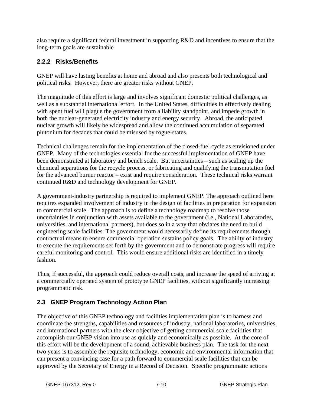also require a significant federal investment in supporting R&D and incentives to ensure that the long-term goals are sustainable

## **2.2.2 Risks/Benefits**

GNEP will have lasting benefits at home and abroad and also presents both technological and political risks. However, there are greater risks without GNEP.

The magnitude of this effort is large and involves significant domestic political challenges, as well as a substantial international effort. In the United States, difficulties in effectively dealing with spent fuel will plague the government from a liability standpoint, and impede growth in both the nuclear-generated electricity industry and energy security. Abroad, the anticipated nuclear growth will likely be widespread and allow the continued accumulation of separated plutonium for decades that could be misused by rogue-states.

Technical challenges remain for the implementation of the closed-fuel cycle as envisioned under GNEP. Many of the technologies essential for the successful implementation of GNEP have been demonstrated at laboratory and bench scale. But uncertainties – such as scaling up the chemical separations for the recycle process, or fabricating and qualifying the transmutation fuel for the advanced burner reactor – exist and require consideration. These technical risks warrant continued R&D and technology development for GNEP.

A government-industry partnership is required to implement GNEP. The approach outlined here requires expanded involvement of industry in the design of facilities in preparation for expansion to commercial scale. The approach is to define a technology roadmap to resolve those uncertainties in conjunction with assets available to the government (i.e., National Laboratories, universities, and international partners), but does so in a way that obviates the need to build engineering scale facilities. The government would necessarily define its requirements through contractual means to ensure commercial operation sustains policy goals. The ability of industry to execute the requirements set forth by the government and to demonstrate progress will require careful monitoring and control. This would ensure additional risks are identified in a timely fashion.

Thus, if successful, the approach could reduce overall costs, and increase the speed of arriving at a commercially operated system of prototype GNEP facilities, without significantly increasing programmatic risk.

## **2.3 GNEP Program Technology Action Plan**

The objective of this GNEP technology and facilities implementation plan is to harness and coordinate the strengths, capabilities and resources of industry, national laboratories, universities, and international partners with the clear objective of getting commercial scale facilities that accomplish our GNEP vision into use as quickly and economically as possible. At the core of this effort will be the development of a sound, achievable business plan. The task for the next two years is to assemble the requisite technology, economic and environmental information that can present a convincing case for a path forward to commercial scale facilities that can be approved by the Secretary of Energy in a Record of Decision. Specific programmatic actions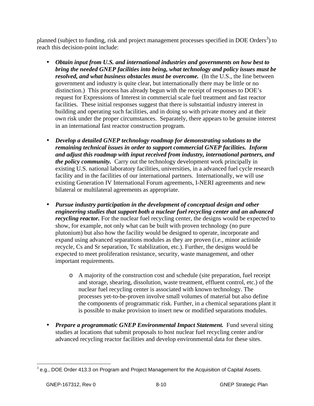planned (subject to funding, risk and project management processes specified in DOE Orders<sup>3</sup>) to reach this decision-point include:

- *Obtain input from U.S. and international industries and governments on how best to bring the needed GNEP facilities into being, what technology and policy issues must be resolved, and what business obstacles must be overcome.* (In the U.S., the line between government and industry is quite clear, but internationally there may be little or no distinction.) This process has already begun with the receipt of responses to DOE's request for Expressions of Interest in commercial scale fuel treatment and fast reactor facilities. These initial responses suggest that there is substantial industry interest in building and operating such facilities, and in doing so with private money and at their own risk under the proper circumstances. Separately, there appears to be genuine interest in an international fast reactor construction program.
- *Develop a detailed GNEP technology roadmap for demonstrating solutions to the remaining technical issues in order to support commercial GNEP facilities. Inform and adjust this roadmap with input received from industry, international partners, and the policy community.* Carry out the technology development work principally in existing U.S. national laboratory facilities, universities, in a advanced fuel cycle research facility and in the facilities of our international partners. Internationally, we will use existing Generation IV International Forum agreements, I-NERI agreements and new bilateral or multilateral agreements as appropriate.
- *Pursue industry participation in the development of conceptual design and other engineering studies that support both a nuclear fuel recycling center and an advanced recycling reactor.* For the nuclear fuel recycling center, the designs would be expected to show, for example, not only what can be built with proven technology (no pure plutonium) but also how the facility would be designed to operate, incorporate and expand using advanced separations modules as they are proven (i.e., minor actinide recycle, Cs and Sr separation, Tc stabilization, etc.). Further, the designs would be expected to meet proliferation resistance, security, waste management, and other important requirements.
	- o A majority of the construction cost and schedule (site preparation, fuel receipt and storage, shearing, dissolution, waste treatment, effluent control, etc.) of the nuclear fuel recycling center is associated with known technology. The processes yet-to-be-proven involve small volumes of material but also define the components of programmatic risk. Further, in a chemical separations plant it is possible to make provision to insert new or modified separations modules.
- *Prepare a programmatic GNEP Environmental Impact Statement.* Fund several siting studies at locations that submit proposals to host nuclear fuel recycling center and/or advanced recycling reactor facilities and develop environmental data for these sites.

 3 e.g., DOE Order 413.3 on Program and Project Management for the Acquisition of Capital Assets.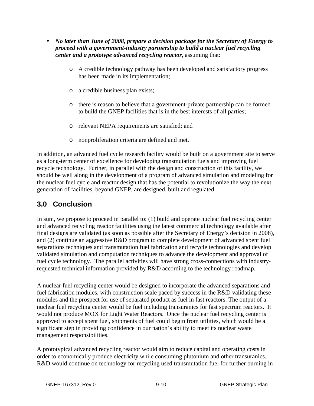- *No later than June of 2008, prepare a decision package for the Secretary of Energy to proceed with a government-industry partnership to build a nuclear fuel recycling center and a prototype advanced recycling reactor*, assuming that:
	- o A credible technology pathway has been developed and satisfactory progress has been made in its implementation;
	- o a credible business plan exists;
	- o there is reason to believe that a government-private partnership can be formed to build the GNEP facilities that is in the best interests of all parties;
	- o relevant NEPA requirements are satisfied; and
	- o nonproliferation criteria are defined and met.

In addition, an advanced fuel cycle research facility would be built on a government site to serve as a long-term center of excellence for developing transmutation fuels and improving fuel recycle technology. Further, in parallel with the design and construction of this facility, we should be well along in the development of a program of advanced simulation and modeling for the nuclear fuel cycle and reactor design that has the potential to revolutionize the way the next generation of facilities, beyond GNEP, are designed, built and regulated.

# **3.0 Conclusion**

In sum, we propose to proceed in parallel to: (1) build and operate nuclear fuel recycling center and advanced recycling reactor facilities using the latest commercial technology available after final designs are validated (as soon as possible after the Secretary of Energy's decision in 2008), and (2) continue an aggressive R&D program to complete development of advanced spent fuel separations techniques and transmutation fuel fabrication and recycle technologies and develop validated simulation and computation techniques to advance the development and approval of fuel cycle technology. The parallel activities will have strong cross-connections with industryrequested technical information provided by R&D according to the technology roadmap.

A nuclear fuel recycling center would be designed to incorporate the advanced separations and fuel fabrication modules, with construction scale paced by success in the R&D validating these modules and the prospect for use of separated product as fuel in fast reactors. The output of a nuclear fuel recycling center would be fuel including transuranics for fast spectrum reactors. It would not produce MOX for Light Water Reactors. Once the nuclear fuel recycling center is approved to accept spent fuel, shipments of fuel could begin from utilities, which would be a significant step in providing confidence in our nation's ability to meet its nuclear waste management responsibilities.

A prototypical advanced recycling reactor would aim to reduce capital and operating costs in order to economically produce electricity while consuming plutonium and other transuranics. R&D would continue on technology for recycling used transmutation fuel for further burning in